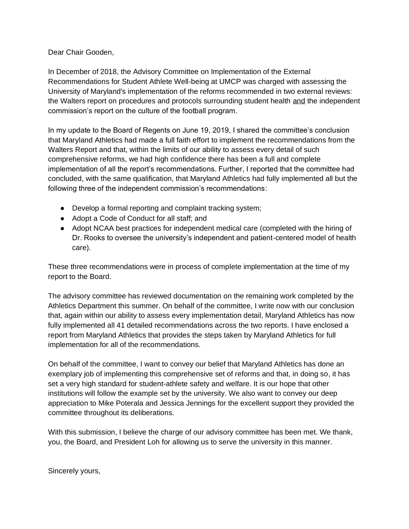Dear Chair Gooden,

In December of 2018, the Advisory Committee on Implementation of the External Recommendations for Student Athlete Well-being at UMCP was charged with assessing the University of Maryland's implementation of the reforms recommended in two external reviews: the Walters report on procedures and protocols surrounding student health and the independent commission's report on the culture of the football program.

In my update to the Board of Regents on June 19, 2019, I shared the committee's conclusion that Maryland Athletics had made a full faith effort to implement the recommendations from the Walters Report and that, within the limits of our ability to assess every detail of such comprehensive reforms, we had high confidence there has been a full and complete implementation of all the report's recommendations. Further, I reported that the committee had concluded, with the same qualification, that Maryland Athletics had fully implemented all but the following three of the independent commission's recommendations:

- Develop a formal reporting and complaint tracking system;
- Adopt a Code of Conduct for all staff; and
- Adopt NCAA best practices for independent medical care (completed with the hiring of Dr. Rooks to oversee the university's independent and patient-centered model of health care).

These three recommendations were in process of complete implementation at the time of my report to the Board.

The advisory committee has reviewed documentation on the remaining work completed by the Athletics Department this summer. On behalf of the committee, I write now with our conclusion that, again within our ability to assess every implementation detail, Maryland Athletics has now fully implemented all 41 detailed recommendations across the two reports. I have enclosed a report from Maryland Athletics that provides the steps taken by Maryland Athletics for full implementation for all of the recommendations.

On behalf of the committee, I want to convey our belief that Maryland Athletics has done an exemplary job of implementing this comprehensive set of reforms and that, in doing so, it has set a very high standard for student-athlete safety and welfare. It is our hope that other institutions will follow the example set by the university. We also want to convey our deep appreciation to Mike Poterala and Jessica Jennings for the excellent support they provided the committee throughout its deliberations.

With this submission, I believe the charge of our advisory committee has been met. We thank, you, the Board, and President Loh for allowing us to serve the university in this manner.

Sincerely yours,